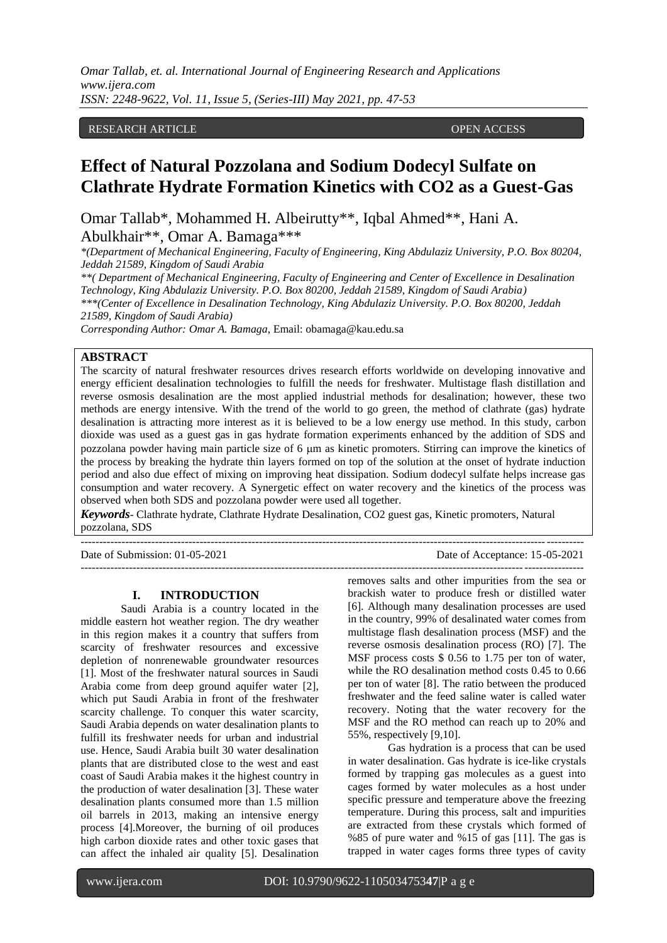## RESEARCH ARTICLE **CONSERVERS** OPEN ACCESS

# **Effect of Natural Pozzolana and Sodium Dodecyl Sulfate on Clathrate Hydrate Formation Kinetics with CO2 as a Guest-Gas**

Omar Tallab\*, Mohammed H. Albeirutty\*\*, Iqbal Ahmed\*\*, Hani A. Abulkhair\*\*, Omar A. Bamaga\*\*\*

*\*(Department of Mechanical Engineering, Faculty of Engineering, King Abdulaziz University, P.O. Box 80204, Jeddah 21589, Kingdom of Saudi Arabia*

*\*\*( Department of Mechanical Engineering, Faculty of Engineering and Center of Excellence in Desalination Technology, King Abdulaziz University. P.O. Box 80200, Jeddah 21589, Kingdom of Saudi Arabia) \*\*\*(Center of Excellence in Desalination Technology, King Abdulaziz University. P.O. Box 80200, Jeddah 21589, Kingdom of Saudi Arabia)*

*Corresponding Author: Omar A. Bamaga*, Email: obamaga@kau.edu.sa

## **ABSTRACT**

The scarcity of natural freshwater resources drives research efforts worldwide on developing innovative and energy efficient desalination technologies to fulfill the needs for freshwater. Multistage flash distillation and reverse osmosis desalination are the most applied industrial methods for desalination; however, these two methods are energy intensive. With the trend of the world to go green, the method of clathrate (gas) hydrate desalination is attracting more interest as it is believed to be a low energy use method. In this study, carbon dioxide was used as a guest gas in gas hydrate formation experiments enhanced by the addition of SDS and pozzolana powder having main particle size of 6 µm as kinetic promoters. Stirring can improve the kinetics of the process by breaking the hydrate thin layers formed on top of the solution at the onset of hydrate induction period and also due effect of mixing on improving heat dissipation. Sodium dodecyl sulfate helps increase gas consumption and water recovery. A Synergetic effect on water recovery and the kinetics of the process was observed when both SDS and pozzolana powder were used all together.

*Keywords*- Clathrate hydrate, Clathrate Hydrate Desalination, CO2 guest gas, Kinetic promoters, Natural pozzolana, SDS

---------------------------------------------------------------------------------------------------------------------------------------

Date of Submission: 01-05-2021 Date of Acceptance: 15-05-2021

 $-1\leq i\leq n-1\leq n-1\leq n-1\leq n-1\leq n-1\leq n-1\leq n-1\leq n-1\leq n-1\leq n-1\leq n-1\leq n-1\leq n-1\leq n-1\leq n-1\leq n-1\leq n-1\leq n-1\leq n-1\leq n-1\leq n-1\leq n-1\leq n-1\leq n-1\leq n-1\leq n-1\leq n-1\leq n-1\leq n-1\leq n-1\leq n-1\leq n-1\leq n-1\leq n-1\leq n-1\leq n$ 

#### **I. INTRODUCTION**

Saudi Arabia is a country located in the middle eastern hot weather region. The dry weather in this region makes it a country that suffers from scarcity of freshwater resources and excessive depletion of nonrenewable groundwater resources [1]. Most of the freshwater natural sources in Saudi Arabia come from deep ground aquifer water [2], which put Saudi Arabia in front of the freshwater scarcity challenge. To conquer this water scarcity, Saudi Arabia depends on water desalination plants to fulfill its freshwater needs for urban and industrial use. Hence, Saudi Arabia built 30 water desalination plants that are distributed close to the west and east coast of Saudi Arabia makes it the highest country in the production of water desalination [3]. These water desalination plants consumed more than 1.5 million oil barrels in 2013, making an intensive energy process [4].Moreover, the burning of oil produces high carbon dioxide rates and other toxic gases that can affect the inhaled air quality [5]. Desalination

removes salts and other impurities from the sea or brackish water to produce fresh or distilled water [6]. Although many desalination processes are used in the country, 99% of desalinated water comes from multistage flash desalination process (MSF) and the reverse osmosis desalination process (RO) [7]. The MSF process costs \$ 0.56 to 1.75 per ton of water, while the RO desalination method costs 0.45 to 0.66 per ton of water [8]. The ratio between the produced freshwater and the feed saline water is called water recovery. Noting that the water recovery for the MSF and the RO method can reach up to 20% and 55%, respectively [9,10].

Gas hydration is a process that can be used in water desalination. Gas hydrate is ice-like crystals formed by trapping gas molecules as a guest into cages formed by water molecules as a host under specific pressure and temperature above the freezing temperature. During this process, salt and impurities are extracted from these crystals which formed of %85 of pure water and %15 of gas [11]. The gas is trapped in water cages forms three types of cavity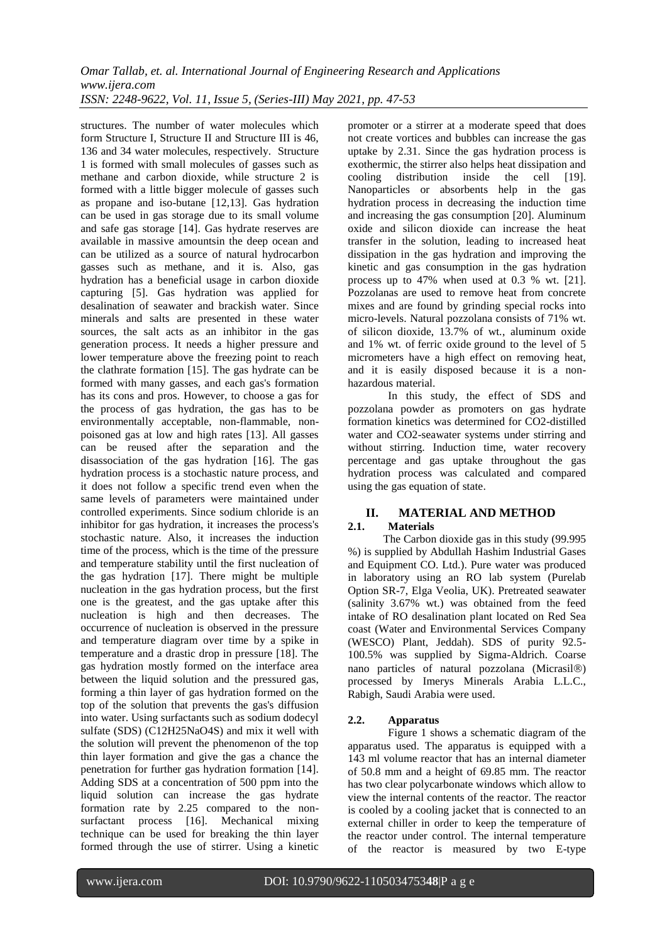structures. The number of water molecules which form Structure I, Structure II and Structure III is 46, 136 and 34 water molecules, respectively. Structure 1 is formed with small molecules of gasses such as methane and carbon dioxide, while structure 2 is formed with a little bigger molecule of gasses such as propane and iso-butane [12,13]. Gas hydration can be used in gas storage due to its small volume and safe gas storage [14]. Gas hydrate reserves are available in massive amountsin the deep ocean and can be utilized as a source of natural hydrocarbon gasses such as methane, and it is. Also, gas hydration has a beneficial usage in carbon dioxide capturing [5]. Gas hydration was applied for desalination of seawater and brackish water. Since minerals and salts are presented in these water sources, the salt acts as an inhibitor in the gas generation process. It needs a higher pressure and lower temperature above the freezing point to reach the clathrate formation [15]. The gas hydrate can be formed with many gasses, and each gas's formation has its cons and pros. However, to choose a gas for the process of gas hydration, the gas has to be environmentally acceptable, non-flammable, nonpoisoned gas at low and high rates [13]. All gasses can be reused after the separation and the disassociation of the gas hydration [16]. The gas hydration process is a stochastic nature process, and it does not follow a specific trend even when the same levels of parameters were maintained under controlled experiments. Since sodium chloride is an inhibitor for gas hydration, it increases the process's stochastic nature. Also, it increases the induction time of the process, which is the time of the pressure and temperature stability until the first nucleation of the gas hydration [17]. There might be multiple nucleation in the gas hydration process, but the first one is the greatest, and the gas uptake after this nucleation is high and then decreases. The occurrence of nucleation is observed in the pressure and temperature diagram over time by a spike in temperature and a drastic drop in pressure [18]. The gas hydration mostly formed on the interface area between the liquid solution and the pressured gas, forming a thin layer of gas hydration formed on the top of the solution that prevents the gas's diffusion into water. Using surfactants such as sodium dodecyl sulfate (SDS) (C12H25NaO4S) and mix it well with the solution will prevent the phenomenon of the top thin layer formation and give the gas a chance the penetration for further gas hydration formation [14]. Adding SDS at a concentration of 500 ppm into the liquid solution can increase the gas hydrate formation rate by 2.25 compared to the nonsurfactant process [16]. Mechanical mixing technique can be used for breaking the thin layer formed through the use of stirrer. Using a kinetic

promoter or a stirrer at a moderate speed that does not create vortices and bubbles can increase the gas uptake by 2.31. Since the gas hydration process is exothermic, the stirrer also helps heat dissipation and cooling distribution inside the cell [19]. cooling distribution inside Nanoparticles or absorbents help in the gas hydration process in decreasing the induction time and increasing the gas consumption [20]. Aluminum oxide and silicon dioxide can increase the heat transfer in the solution, leading to increased heat dissipation in the gas hydration and improving the kinetic and gas consumption in the gas hydration process up to 47% when used at 0.3 % wt. [21]. Pozzolanas are used to remove heat from concrete mixes and are found by grinding special rocks into micro-levels. Natural pozzolana consists of 71% wt. of silicon dioxide, 13.7% of wt., aluminum oxide and 1% wt. of ferric oxide ground to the level of 5 micrometers have a high effect on removing heat, and it is easily disposed because it is a nonhazardous material.

In this study, the effect of SDS and pozzolana powder as promoters on gas hydrate formation kinetics was determined for CO2-distilled water and CO2-seawater systems under stirring and without stirring. Induction time, water recovery percentage and gas uptake throughout the gas hydration process was calculated and compared using the gas equation of state.

### **II. MATERIAL AND METHOD 2.1. Materials**

The Carbon dioxide gas in this study (99.995 %) is supplied by Abdullah Hashim Industrial Gases and Equipment CO. Ltd.). Pure water was produced in laboratory using an RO lab system (Purelab Option SR-7, Elga Veolia, UK). Pretreated seawater (salinity 3.67% wt.) was obtained from the feed intake of RO desalination plant located on Red Sea coast (Water and Environmental Services Company (WESCO) Plant, Jeddah). SDS of purity 92.5- 100.5% was supplied by Sigma-Aldrich. Coarse nano particles of natural pozzolana (Micrasil®) processed by Imerys Minerals Arabia L.L.C., Rabigh, Saudi Arabia were used.

# **2.2. Apparatus**

Figure 1 shows a schematic diagram of the apparatus used. The apparatus is equipped with a 143 ml volume reactor that has an internal diameter of 50.8 mm and a height of 69.85 mm. The reactor has two clear polycarbonate windows which allow to view the internal contents of the reactor. The reactor is cooled by a cooling jacket that is connected to an external chiller in order to keep the temperature of the reactor under control. The internal temperature of the reactor is measured by two E-type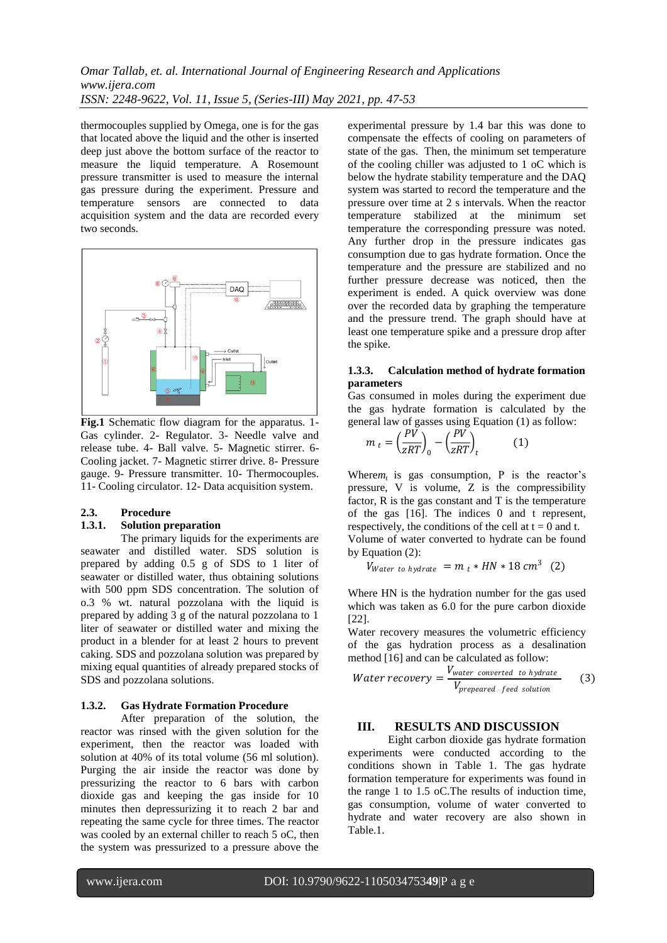thermocouples supplied by Omega, one is for the gas that located above the liquid and the other is inserted deep just above the bottom surface of the reactor to measure the liquid temperature. A Rosemount pressure transmitter is used to measure the internal gas pressure during the experiment. Pressure and temperature sensors are connected to data acquisition system and the data are recorded every two seconds.



**Fig.1** Schematic flow diagram for the apparatus. 1- Gas cylinder. 2- Regulator. 3- Needle valve and release tube. 4- Ball valve. 5- Magnetic stirrer. 6- Cooling jacket. 7- Magnetic stirrer drive. 8- Pressure gauge. 9- Pressure transmitter. 10- Thermocouples. 11- Cooling circulator. 12- Data acquisition system.

# **2.3. Procedure**

### **1.3.1. Solution preparation**

The primary liquids for the experiments are seawater and distilled water. SDS solution is prepared by adding 0.5 g of SDS to 1 liter of seawater or distilled water, thus obtaining solutions with 500 ppm SDS concentration. The solution of o.3 % wt. natural pozzolana with the liquid is prepared by adding 3 g of the natural pozzolana to 1 liter of seawater or distilled water and mixing the product in a blender for at least 2 hours to prevent caking. SDS and pozzolana solution was prepared by mixing equal quantities of already prepared stocks of SDS and pozzolana solutions.

### **1.3.2. Gas Hydrate Formation Procedure**

After preparation of the solution, the reactor was rinsed with the given solution for the experiment, then the reactor was loaded with solution at 40% of its total volume (56 ml solution). Purging the air inside the reactor was done by pressurizing the reactor to 6 bars with carbon dioxide gas and keeping the gas inside for 10 minutes then depressurizing it to reach 2 bar and repeating the same cycle for three times. The reactor was cooled by an external chiller to reach 5 oC, then the system was pressurized to a pressure above the

experimental pressure by 1.4 bar this was done to compensate the effects of cooling on parameters of state of the gas. Then, the minimum set temperature of the cooling chiller was adjusted to 1 oC which is below the hydrate stability temperature and the DAQ system was started to record the temperature and the pressure over time at 2 s intervals. When the reactor temperature stabilized at the minimum set temperature the corresponding pressure was noted. Any further drop in the pressure indicates gas consumption due to gas hydrate formation. Once the temperature and the pressure are stabilized and no further pressure decrease was noticed, then the experiment is ended. A quick overview was done over the recorded data by graphing the temperature and the pressure trend. The graph should have at least one temperature spike and a pressure drop after the spike.

### **1.3.3. Calculation method of hydrate formation parameters**

Gas consumed in moles during the experiment due the gas hydrate formation is calculated by the general law of gasses using Equation (1) as follow:

$$
m_t = \left(\frac{PV}{zRT}\right)_0 - \left(\frac{PV}{zRT}\right)_t \tag{1}
$$

Where $m_t$  is gas consumption, P is the reactor's pressure, V is volume, Z is the compressibility factor, R is the gas constant and T is the temperature of the gas [16]. The indices 0 and t represent, respectively, the conditions of the cell at  $t = 0$  and t. Volume of water converted to hydrate can be found by Equation (2):

$$
V_{Water\ to\ hydrate} = m_t * HN * 18 \, cm^3 \quad (2)
$$

Where HN is the hydration number for the gas used which was taken as 6.0 for the pure carbon dioxide [22].

Water recovery measures the volumetric efficiency of the gas hydration process as a desalination method [16] and can be calculated as follow:

Water recovery = 
$$
\frac{V_{water\;converted\; to\; hydrate}}{V_{prepeated\; feed\; solution}}
$$
 (3)

# **III. RESULTS AND DISCUSSION**

Eight carbon dioxide gas hydrate formation experiments were conducted according to the conditions shown in Table 1. The gas hydrate formation temperature for experiments was found in the range 1 to 1.5 oC.The results of induction time, gas consumption, volume of water converted to hydrate and water recovery are also shown in Table.1.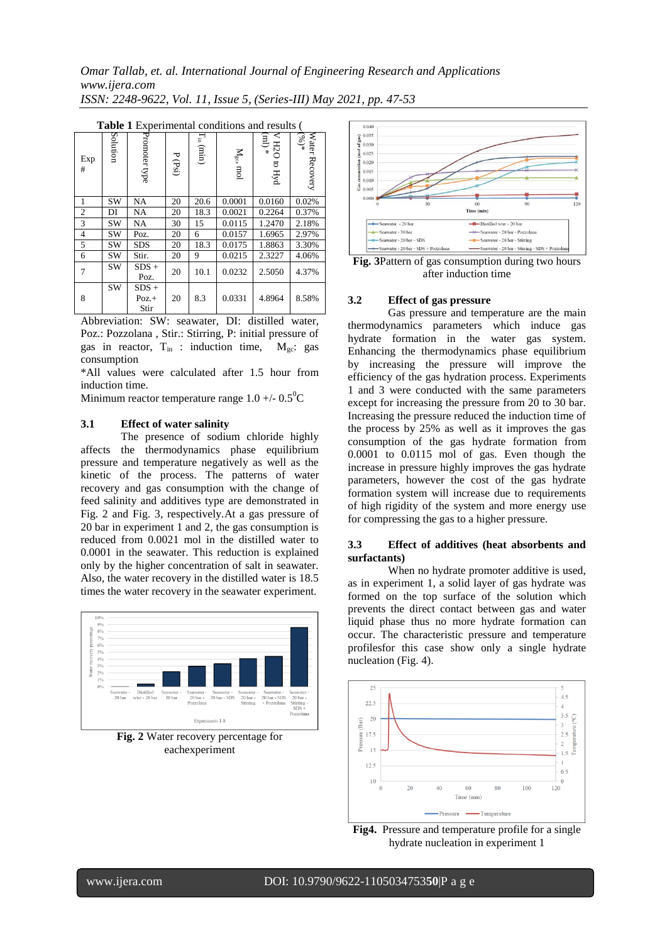|                | <b>Table 1</b> Experimental conditions and results |                            |             |                                            |                |                                            |                                              |  |
|----------------|----------------------------------------------------|----------------------------|-------------|--------------------------------------------|----------------|--------------------------------------------|----------------------------------------------|--|
| Exp<br>#       | Solution                                           | Promoter type              | ᠊ᢦ<br>(Psi) | $\Gamma_{\rm in}$<br>$\left( \min \right)$ | $M_{gc}$ , mol | E)<br>H <sub>2</sub> O<br>$\ast$<br>to Hyd | Water Recovery<br>$\sqrt{\frac{(\%)}{(\%)}}$ |  |
| 1              | <b>SW</b>                                          | <b>NA</b>                  | 20          | 20.6                                       | 0.0001         | 0.0160                                     | 0.02%                                        |  |
| $\overline{2}$ | DI                                                 | <b>NA</b>                  | 20          | 18.3                                       | 0.0021         | 0.2264                                     | 0.37%                                        |  |
| 3              | SW                                                 | <b>NA</b>                  | 30          | 15                                         | 0.0115         | 1.2470                                     | 2.18%                                        |  |
| $\overline{4}$ | SW                                                 | Poz.                       | 20          | 6                                          | 0.0157         | 1.6965                                     | 2.97%                                        |  |
| 5              | SW                                                 | <b>SDS</b>                 | 20          | 18.3                                       | 0.0175         | 1.8863                                     | 3.30%                                        |  |
| 6              | SW                                                 | Stir.                      | 20          | 9                                          | 0.0215         | 2.3227                                     | 4.06%                                        |  |
| 7              | SW                                                 | $SDS +$<br>Poz.            | 20          | 10.1                                       | 0.0232         | 2.5050                                     | 4.37%                                        |  |
| 8              | <b>SW</b>                                          | $SDS +$<br>$Poz.+$<br>Stir | 20          | 8.3                                        | 0.0331         | 4.8964                                     | 8.58%                                        |  |

| <b>Table 1</b> Experimental conditions and results ( |  |
|------------------------------------------------------|--|

Abbreviation: SW: seawater, DI: distilled water, Poz.: Pozzolana , Stir.: Stirring, P: initial pressure of gas in reactor,  $T_{in}$ : induction time,  $M_{gc}$ : gas consumption

\*All values were calculated after 1.5 hour from induction time.

Minimum reactor temperature range  $1.0 +/- 0.5^{\circ}C$ 

#### **3.1 Effect of water salinity**

The presence of sodium chloride highly affects the thermodynamics phase equilibrium pressure and temperature negatively as well as the kinetic of the process. The patterns of water recovery and gas consumption with the change of feed salinity and additives type are demonstrated in Fig. 2 and Fig. 3, respectively.At a gas pressure of 20 bar in experiment 1 and 2, the gas consumption is reduced from 0.0021 mol in the distilled water to 0.0001 in the seawater. This reduction is explained only by the higher concentration of salt in seawater. Also, the water recovery in the distilled water is 18.5 times the water recovery in the seawater experiment.



**Fig. 2** Water recovery percentage for eachexperiment



**Fig. 3**Pattern of gas consumption during two hours after induction time

#### **3.2 Effect of gas pressure**

Gas pressure and temperature are the main thermodynamics parameters which induce gas hydrate formation in the water gas system. Enhancing the thermodynamics phase equilibrium by increasing the pressure will improve the efficiency of the gas hydration process. Experiments 1 and 3 were conducted with the same parameters except for increasing the pressure from 20 to 30 bar. Increasing the pressure reduced the induction time of the process by 25% as well as it improves the gas consumption of the gas hydrate formation from 0.0001 to 0.0115 mol of gas. Even though the increase in pressure highly improves the gas hydrate parameters, however the cost of the gas hydrate formation system will increase due to requirements of high rigidity of the system and more energy use for compressing the gas to a higher pressure.

#### **3.3 Effect of additives (heat absorbents and surfactants)**

When no hydrate promoter additive is used, as in experiment 1, a solid layer of gas hydrate was formed on the top surface of the solution which prevents the direct contact between gas and water liquid phase thus no more hydrate formation can occur. The characteristic pressure and temperature profilesfor this case show only a single hydrate nucleation (Fig. 4).



**Fig4.** Pressure and temperature profile for a single hydrate nucleation in experiment 1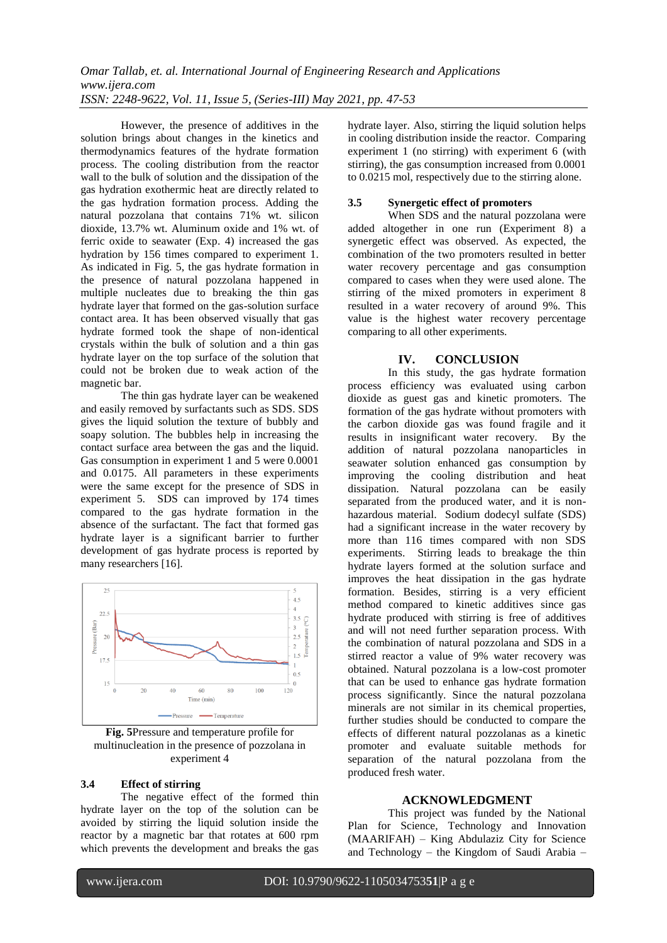However, the presence of additives in the solution brings about changes in the kinetics and thermodynamics features of the hydrate formation process. The cooling distribution from the reactor wall to the bulk of solution and the dissipation of the gas hydration exothermic heat are directly related to the gas hydration formation process. Adding the natural pozzolana that contains 71% wt. silicon dioxide, 13.7% wt. Aluminum oxide and 1% wt. of ferric oxide to seawater (Exp. 4) increased the gas hydration by 156 times compared to experiment 1. As indicated in Fig. 5, the gas hydrate formation in the presence of natural pozzolana happened in multiple nucleates due to breaking the thin gas hydrate layer that formed on the gas-solution surface contact area. It has been observed visually that gas hydrate formed took the shape of non-identical crystals within the bulk of solution and a thin gas hydrate layer on the top surface of the solution that could not be broken due to weak action of the magnetic bar.

The thin gas hydrate layer can be weakened and easily removed by surfactants such as SDS. SDS gives the liquid solution the texture of bubbly and soapy solution. The bubbles help in increasing the contact surface area between the gas and the liquid. Gas consumption in experiment 1 and 5 were 0.0001 and 0.0175. All parameters in these experiments were the same except for the presence of SDS in experiment 5. SDS can improved by 174 times compared to the gas hydrate formation in the absence of the surfactant. The fact that formed gas hydrate layer is a significant barrier to further development of gas hydrate process is reported by many researchers [16].



**Fig. 5**Pressure and temperature profile for multinucleation in the presence of pozzolana in experiment 4

# **3.4 Effect of stirring**

The negative effect of the formed thin hydrate layer on the top of the solution can be avoided by stirring the liquid solution inside the reactor by a magnetic bar that rotates at 600 rpm which prevents the development and breaks the gas

hydrate layer. Also, stirring the liquid solution helps in cooling distribution inside the reactor. Comparing experiment 1 (no stirring) with experiment 6 (with stirring), the gas consumption increased from 0.0001 to 0.0215 mol, respectively due to the stirring alone.

#### **3.5 Synergetic effect of promoters**

When SDS and the natural pozzolana were added altogether in one run (Experiment 8) a synergetic effect was observed. As expected, the combination of the two promoters resulted in better water recovery percentage and gas consumption compared to cases when they were used alone. The stirring of the mixed promoters in experiment 8 resulted in a water recovery of around 9%. This value is the highest water recovery percentage comparing to all other experiments.

#### **IV. CONCLUSION**

In this study, the gas hydrate formation process efficiency was evaluated using carbon dioxide as guest gas and kinetic promoters. The formation of the gas hydrate without promoters with the carbon dioxide gas was found fragile and it results in insignificant water recovery. By the addition of natural pozzolana nanoparticles in seawater solution enhanced gas consumption by improving the cooling distribution and heat dissipation. Natural pozzolana can be easily separated from the produced water, and it is nonhazardous material. Sodium dodecyl sulfate (SDS) had a significant increase in the water recovery by more than 116 times compared with non SDS experiments. Stirring leads to breakage the thin hydrate layers formed at the solution surface and improves the heat dissipation in the gas hydrate formation. Besides, stirring is a very efficient method compared to kinetic additives since gas hydrate produced with stirring is free of additives and will not need further separation process. With the combination of natural pozzolana and SDS in a stirred reactor a value of 9% water recovery was obtained. Natural pozzolana is a low-cost promoter that can be used to enhance gas hydrate formation process significantly. Since the natural pozzolana minerals are not similar in its chemical properties, further studies should be conducted to compare the effects of different natural pozzolanas as a kinetic promoter and evaluate suitable methods for separation of the natural pozzolana from the produced fresh water.

#### **ACKNOWLEDGMENT**

This project was funded by the National Plan for Science, Technology and Innovation (MAARIFAH) – King Abdulaziz City for Science and Technology – the Kingdom of Saudi Arabia –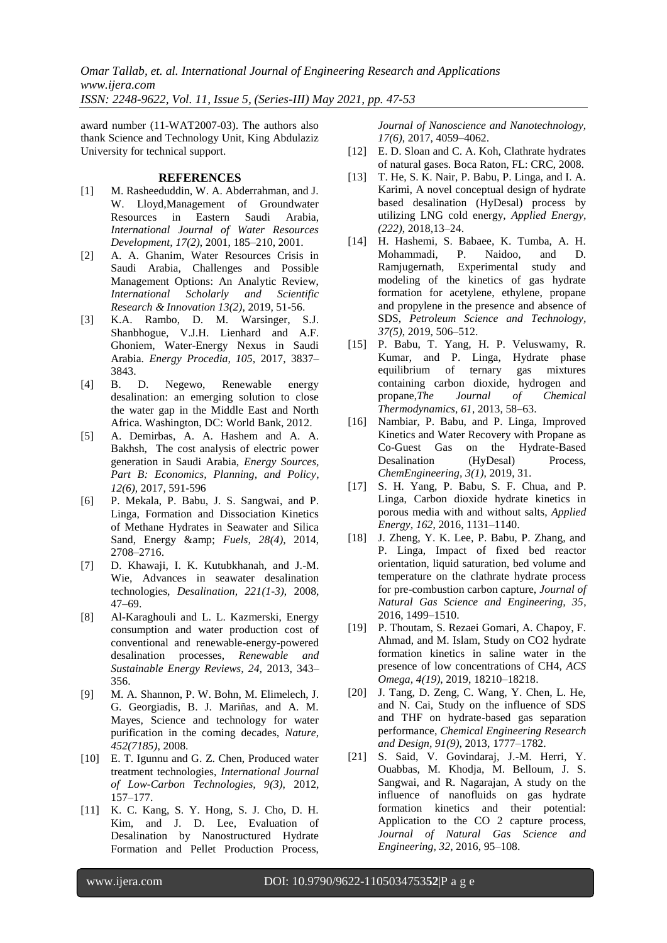*Omar Tallab, et. al. International Journal of Engineering Research and Applications www.ijera.com*

*ISSN: 2248-9622, Vol. 11, Issue 5, (Series-III) May 2021, pp. 47-53*

award number (11-WAT2007-03). The authors also thank Science and Technology Unit, King Abdulaziz University for technical support.

#### **REFERENCES**

- [1] M. Rasheeduddin, W. A. Abderrahman, and J. W. Lloyd,Management of Groundwater Resources in Eastern Saudi Arabia, *International Journal of Water Resources Development, 17(2)*, 2001, 185–210, 2001.
- [2] A. A. Ghanim, Water Resources Crisis in Saudi Arabia, Challenges and Possible Management Options: An Analytic Review, *International Scholarly and Scientific Research & Innovation 13(2)*, 2019, 51-56.
- [3] K.A. Rambo, D. M. Warsinger, S.J. Shanbhogue, V.J.H. Lienhard and A.F. Ghoniem, Water-Energy Nexus in Saudi Arabia. *Energy Procedia, 105*, 2017, 3837– 3843.
- [4] B. D. Negewo, Renewable energy desalination: an emerging solution to close the water gap in the Middle East and North Africa. Washington, DC: World Bank, 2012.
- [5] A. Demirbas, A. A. Hashem and A. A. Bakhsh, The cost analysis of electric power generation in Saudi Arabia, *Energy Sources, Part B: Economics, Planning, and Policy, 12(6),* 2017, 591-596
- [6] P. Mekala, P. Babu, J. S. Sangwai, and P. Linga, Formation and Dissociation Kinetics of Methane Hydrates in Seawater and Silica Sand, Energy & *Fuels, 28(4)*, 2014, 2708–2716.
- [7] D. Khawaji, I. K. Kutubkhanah, and J.-M. Wie, Advances in seawater desalination technologies, *Desalination, 221(1-3)*, 2008, 47–69.
- [8] Al-Karaghouli and L. L. Kazmerski, Energy consumption and water production cost of conventional and renewable-energy-powered desalination processes, *Renewable and Sustainable Energy Reviews, 24,* 2013, 343– 356.
- [9] M. A. Shannon, P. W. Bohn, M. Elimelech, J. G. Georgiadis, B. J. Mariñas, and A. M. Mayes, Science and technology for water purification in the coming decades, *Nature, 452(7185)*, 2008.
- [10] E. T. Igunnu and G. Z. Chen, Produced water treatment technologies, *International Journal of Low-Carbon Technologies, 9(3)*, 2012, 157–177.
- [11] K. C. Kang, S. Y. Hong, S. J. Cho, D. H. Kim, and J. D. Lee, Evaluation of Desalination by Nanostructured Hydrate Formation and Pellet Production Process,

*Journal of Nanoscience and Nanotechnology, 17(6)*, 2017, 4059–4062.

- [12] E. D. Sloan and C. A. Koh, Clathrate hydrates of natural gases. Boca Raton, FL: CRC, 2008.
- [13] T. He, S. K. Nair, P. Babu, P. Linga, and I. A. Karimi, A novel conceptual design of hydrate based desalination (HyDesal) process by utilizing LNG cold energy, *Applied Energy, (222)*, 2018,13–24.
- [14] H. Hashemi, S. Babaee, K. Tumba, A. H. Mohammadi, P. Naidoo, and D. Ramjugernath, Experimental study and modeling of the kinetics of gas hydrate formation for acetylene, ethylene, propane and propylene in the presence and absence of SDS, *Petroleum Science and Technology, 37(5)*, 2019, 506–512.
- [15] P. Babu, T. Yang, H. P. Veluswamy, R. Kumar, and P. Linga, Hydrate phase equilibrium of ternary gas mixtures containing carbon dioxide, hydrogen and propane,*The Journal of Chemical Thermodynamics, 61*, 2013, 58–63.
- [16] Nambiar, P. Babu, and P. Linga, Improved Kinetics and Water Recovery with Propane as Co-Guest Gas on the Hydrate-Based Desalination (HyDesal) Process, *ChemEngineering, 3(1)*, 2019, 31.
- [17] S. H. Yang, P. Babu, S. F. Chua, and P. Linga, Carbon dioxide hydrate kinetics in porous media with and without salts, *Applied Energy, 162*, 2016, 1131–1140.
- [18] J. Zheng, Y. K. Lee, P. Babu, P. Zhang, and P. Linga, Impact of fixed bed reactor orientation, liquid saturation, bed volume and temperature on the clathrate hydrate process for pre-combustion carbon capture, *Journal of Natural Gas Science and Engineering, 35*, 2016, 1499–1510.
- [19] P. Thoutam, S. Rezaei Gomari, A. Chapoy, F. Ahmad, and M. Islam, Study on CO2 hydrate formation kinetics in saline water in the presence of low concentrations of CH4, *ACS Omega, 4(19)*, 2019, 18210–18218.
- [20] J. Tang, D. Zeng, C. Wang, Y. Chen, L. He, and N. Cai, Study on the influence of SDS and THF on hydrate-based gas separation performance, *Chemical Engineering Research and Design, 91(9)*, 2013, 1777–1782.
- [21] S. Said, V. Govindaraj, J.-M. Herri, Y. Ouabbas, M. Khodja, M. Belloum, J. S. Sangwai, and R. Nagarajan, A study on the influence of nanofluids on gas hydrate formation kinetics and their potential: Application to the CO 2 capture process, *Journal of Natural Gas Science and Engineering, 32*, 2016, 95–108.